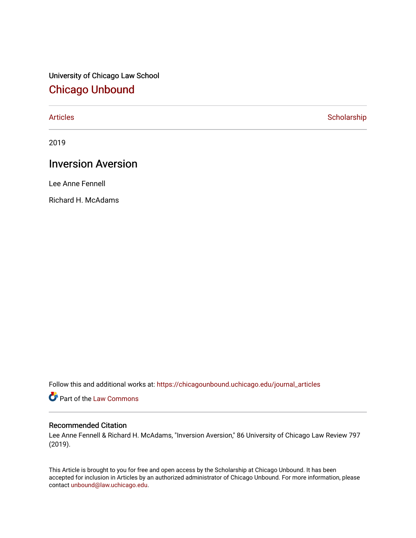University of Chicago Law School [Chicago Unbound](https://chicagounbound.uchicago.edu/)

[Articles](https://chicagounbound.uchicago.edu/journal_articles) **Scholarship** 

2019

# Inversion Aversion

Lee Anne Fennell

Richard H. McAdams

Follow this and additional works at: [https://chicagounbound.uchicago.edu/journal\\_articles](https://chicagounbound.uchicago.edu/journal_articles?utm_source=chicagounbound.uchicago.edu%2Fjournal_articles%2F10047&utm_medium=PDF&utm_campaign=PDFCoverPages) 

Part of the [Law Commons](http://network.bepress.com/hgg/discipline/578?utm_source=chicagounbound.uchicago.edu%2Fjournal_articles%2F10047&utm_medium=PDF&utm_campaign=PDFCoverPages)

## Recommended Citation

Lee Anne Fennell & Richard H. McAdams, "Inversion Aversion," 86 University of Chicago Law Review 797 (2019).

This Article is brought to you for free and open access by the Scholarship at Chicago Unbound. It has been accepted for inclusion in Articles by an authorized administrator of Chicago Unbound. For more information, please contact [unbound@law.uchicago.edu](mailto:unbound@law.uchicago.edu).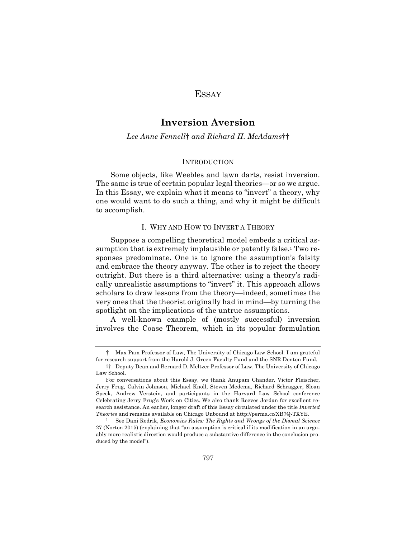## **ESSAY**

## **Inversion Aversion**

#### *Lee Anne Fennell*† *and Richard H. McAdams*††

#### **INTRODUCTION**

Some objects, like Weebles and lawn darts, resist inversion. The same is true of certain popular legal theories—or so we argue. In this Essay, we explain what it means to "invert" a theory, why one would want to do such a thing, and why it might be difficult to accomplish.

#### I. WHY AND HOW TO INVERT A THEORY

Suppose a compelling theoretical model embeds a critical assumption that is extremely implausible or patently false.<sup>1</sup> Two responses predominate. One is to ignore the assumption's falsity and embrace the theory anyway. The other is to reject the theory outright. But there is a third alternative: using a theory's radically unrealistic assumptions to "invert" it. This approach allows scholars to draw lessons from the theory—indeed, sometimes the very ones that the theorist originally had in mind—by turning the spotlight on the implications of the untrue assumptions.

A well-known example of (mostly successful) inversion involves the Coase Theorem, which in its popular formulation

<sup>†</sup> Max Pam Professor of Law, The University of Chicago Law School. I am grateful for research support from the Harold J. Green Faculty Fund and the SNR Denton Fund.

<sup>††</sup> Deputy Dean and Bernard D. Meltzer Professor of Law, The University of Chicago Law School.

For conversations about this Essay, we thank Anupam Chander, Victor Fleischer, Jerry Frug, Calvin Johnson, Michael Knoll, Steven Medema, Richard Schragger, Sloan Speck, Andrew Verstein, and participants in the Harvard Law School conference Celebrating Jerry Frug's Work on Cities. We also thank Reeves Jordan for excellent research assistance. An earlier, longer draft of this Essay circulated under the title *Inverted Theories* and remains available on Chicago Unbound at http://perma.cc/XB7Q-TXYE.

<sup>1</sup> See Dani Rodrik, *Economics Rules: The Rights and Wrongs of the Dismal Science* 27 (Norton 2015) (explaining that "an assumption is critical if its modification in an arguably more realistic direction would produce a substantive difference in the conclusion produced by the model").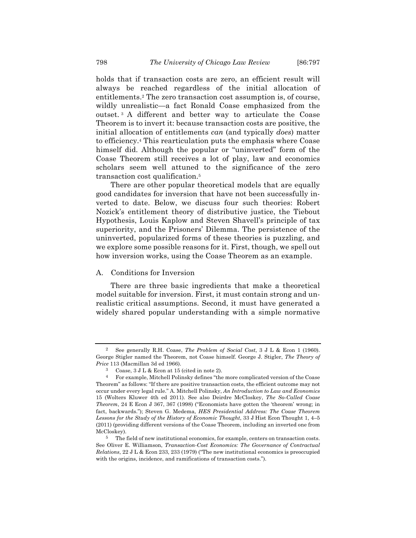holds that if transaction costs are zero, an efficient result will always be reached regardless of the initial allocation of entitlements.2 The zero transaction cost assumption is, of course, wildly unrealistic—a fact Ronald Coase emphasized from the outset. <sup>3</sup> A different and better way to articulate the Coase Theorem is to invert it: because transaction costs are positive, the initial allocation of entitlements *can* (and typically *does*) matter to efficiency.4 This rearticulation puts the emphasis where Coase himself did. Although the popular or "uninverted" form of the Coase Theorem still receives a lot of play, law and economics scholars seem well attuned to the significance of the zero transaction cost qualification.5

There are other popular theoretical models that are equally good candidates for inversion that have not been successfully inverted to date. Below, we discuss four such theories: Robert Nozick's entitlement theory of distributive justice, the Tiebout Hypothesis, Louis Kaplow and Steven Shavell's principle of tax superiority, and the Prisoners' Dilemma. The persistence of the uninverted, popularized forms of these theories is puzzling, and we explore some possible reasons for it. First, though, we spell out how inversion works, using the Coase Theorem as an example.

### A. Conditions for Inversion

There are three basic ingredients that make a theoretical model suitable for inversion. First, it must contain strong and unrealistic critical assumptions. Second, it must have generated a widely shared popular understanding with a simple normative

<sup>2</sup> See generally R.H. Coase, *The Problem of Social Cost*, 3 J L & Econ 1 (1960). George Stigler named the Theorem, not Coase himself. George J. Stigler, *The Theory of Price* 113 (Macmillan 3d ed 1966).

<sup>3</sup> Coase, 3 J L & Econ at 15 (cited in note 2).

<sup>4</sup> For example, Mitchell Polinsky defines "the more complicated version of the Coase Theorem" as follows: "If there are positive transaction costs, the efficient outcome may not occur under every legal rule." A. Mitchell Polinsky, *An Introduction to Law and Economics* 15 (Wolters Kluwer 4th ed 2011). See also Deirdre McCloskey, *The So-Called Coase Theorem*, 24 E Econ J 367, 367 (1998) ("Economists have gotten the 'theorem' wrong; in fact, backwards."); Steven G. Medema, *HES Presidential Address: The Coase Theorem Lessons for the Study of the History of Economic Thought*, 33 J Hist Econ Thought 1, 4–5 (2011) (providing different versions of the Coase Theorem, including an inverted one from McCloskey).

<sup>5</sup> The field of new institutional economics, for example, centers on transaction costs. See Oliver E. Williamson, *Transaction-Cost Economics: The Governance of Contractual Relations*, 22 J L & Econ 233, 233 (1979) ("The new institutional economics is preoccupied with the origins, incidence, and ramifications of transaction costs.").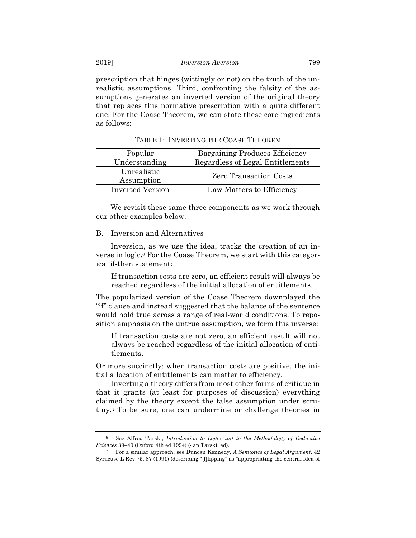prescription that hinges (wittingly or not) on the truth of the unrealistic assumptions. Third, confronting the falsity of the assumptions generates an inverted version of the original theory that replaces this normative prescription with a quite different one. For the Coase Theorem, we can state these core ingredients as follows:

| Popular                 | Bargaining Produces Efficiency   |  |
|-------------------------|----------------------------------|--|
| Understanding           | Regardless of Legal Entitlements |  |
| Unrealistic             | <b>Zero Transaction Costs</b>    |  |
| Assumption              |                                  |  |
| <b>Inverted Version</b> | Law Matters to Efficiency        |  |

TABLE 1: INVERTING THE COASE THEOREM

We revisit these same three components as we work through our other examples below.

#### B. Inversion and Alternatives

Inversion, as we use the idea, tracks the creation of an inverse in logic.6 For the Coase Theorem, we start with this categorical if-then statement:

If transaction costs are zero, an efficient result will always be reached regardless of the initial allocation of entitlements.

The popularized version of the Coase Theorem downplayed the "if" clause and instead suggested that the balance of the sentence would hold true across a range of real-world conditions. To reposition emphasis on the untrue assumption, we form this inverse:

If transaction costs are not zero, an efficient result will not always be reached regardless of the initial allocation of entitlements.

Or more succinctly: when transaction costs are positive, the initial allocation of entitlements can matter to efficiency.

Inverting a theory differs from most other forms of critique in that it grants (at least for purposes of discussion) everything claimed by the theory except the false assumption under scrutiny. <sup>7</sup> To be sure, one can undermine or challenge theories in

<sup>6</sup> See Alfred Tarski, *Introduction to Logic and to the Methodology of Deductive Sciences* 39–40 (Oxford 4th ed 1994) (Jan Tarski, ed).

<sup>7</sup> For a similar approach, see Duncan Kennedy, *A Semiotics of Legal Argument*, 42 Syracuse L Rev 75, 87 (1991) (describing "[f]lipping" as "appropriating the central idea of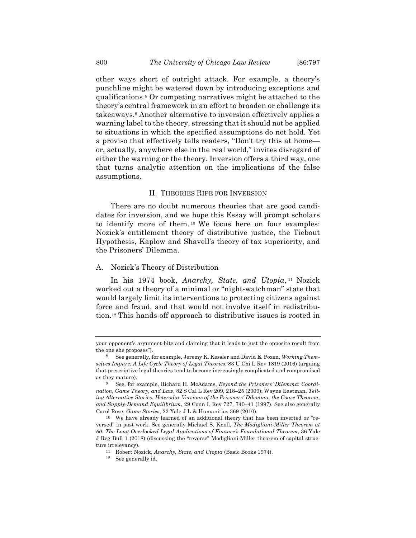other ways short of outright attack. For example, a theory's punchline might be watered down by introducing exceptions and qualifications.8 Or competing narratives might be attached to the theory's central framework in an effort to broaden or challenge its takeaways.9 Another alternative to inversion effectively applies a warning label to the theory, stressing that it should not be applied to situations in which the specified assumptions do not hold. Yet a proviso that effectively tells readers, "Don't try this at home or, actually, anywhere else in the real world," invites disregard of either the warning or the theory. Inversion offers a third way, one that turns analytic attention on the implications of the false assumptions.

#### II. THEORIES RIPE FOR INVERSION

There are no doubt numerous theories that are good candidates for inversion, and we hope this Essay will prompt scholars to identify more of them. <sup>10</sup> We focus here on four examples: Nozick's entitlement theory of distributive justice, the Tiebout Hypothesis, Kaplow and Shavell's theory of tax superiority, and the Prisoners' Dilemma.

#### A. Nozick's Theory of Distribution

In his 1974 book, *Anarchy, State, and Utopia*, <sup>11</sup> Nozick worked out a theory of a minimal or "night-watchman" state that would largely limit its interventions to protecting citizens against force and fraud, and that would not involve itself in redistribution.12 This hands-off approach to distributive issues is rooted in

your opponent's argument-bite and claiming that it leads to just the opposite result from the one she proposes").

<sup>8</sup> See generally, for example, Jeremy K. Kessler and David E. Pozen, *Working Themselves Impure: A Life Cycle Theory of Legal Theories*, 83 U Chi L Rev 1819 (2016) (arguing that prescriptive legal theories tend to become increasingly complicated and compromised as they mature).

<sup>9</sup> See, for example, Richard H. McAdams, *Beyond the Prisoners' Dilemma: Coordination, Game Theory, and Law*, 82 S Cal L Rev 209, 218–25 (2009); Wayne Eastman, *Telling Alternative Stories: Heterodox Versions of the Prisoners' Dilemma, the Coase Theorem, and Supply-Demand Equilibrium*, 29 Conn L Rev 727, 740–41 (1997). See also generally Carol Rose, *Game Stories*, 22 Yale J L & Humanities 369 (2010).

<sup>10</sup> We have already learned of an additional theory that has been inverted or "reversed" in past work. See generally Michael S. Knoll, *The Modigliani-Miller Theorem at 60: The Long-Overlooked Legal Applications of Finance's Foundational Theorem*, 36 Yale J Reg Bull 1 (2018) (discussing the "reverse" Modigliani-Miller theorem of capital structure irrelevancy).

<sup>11</sup> Robert Nozick, *Anarchy, State, and Utopia* (Basic Books 1974).

<sup>12</sup> See generally id.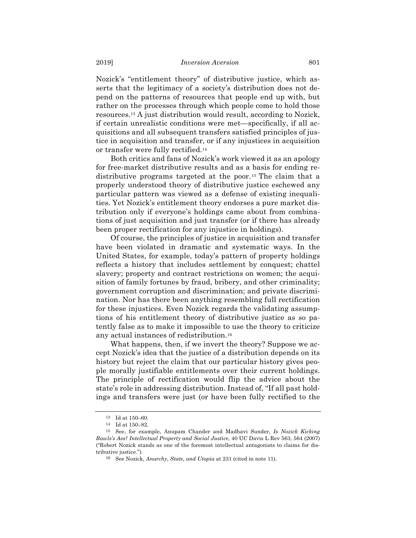Nozick's "entitlement theory" of distributive justice, which asserts that the legitimacy of a society's distribution does not depend on the patterns of resources that people end up with, but rather on the processes through which people come to hold those resources.13 A just distribution would result, according to Nozick, if certain unrealistic conditions were met—specifically, if all acquisitions and all subsequent transfers satisfied principles of justice in acquisition and transfer, or if any injustices in acquisition or transfer were fully rectified.14

Both critics and fans of Nozick's work viewed it as an apology for free-market distributive results and as a basis for ending redistributive programs targeted at the poor.15 The claim that a properly understood theory of distributive justice eschewed any particular pattern was viewed as a defense of existing inequalities. Yet Nozick's entitlement theory endorses a pure market distribution only if everyone's holdings came about from combinations of just acquisition and just transfer (or if there has already been proper rectification for any injustice in holdings).

Of course, the principles of justice in acquisition and transfer have been violated in dramatic and systematic ways. In the United States, for example, today's pattern of property holdings reflects a history that includes settlement by conquest; chattel slavery; property and contract restrictions on women; the acquisition of family fortunes by fraud, bribery, and other criminality; government corruption and discrimination; and private discrimination. Nor has there been anything resembling full rectification for these injustices. Even Nozick regards the validating assumptions of his entitlement theory of distributive justice as so patently false as to make it impossible to use the theory to criticize any actual instances of redistribution.16

What happens, then, if we invert the theory? Suppose we accept Nozick's idea that the justice of a distribution depends on its history but reject the claim that our particular history gives people morally justifiable entitlements over their current holdings. The principle of rectification would flip the advice about the state's role in addressing distribution. Instead of, "If all past holdings and transfers were just (or have been fully rectified to the

<sup>13</sup> Id at 150–60.

<sup>14</sup> Id at 150–82.

<sup>15</sup> See, for example, Anupam Chander and Madhavi Sunder, *Is Nozick Kicking Rawls's Ass? Intellectual Property and Social Justice*, 40 UC Davis L Rev 563, 564 (2007) ("Robert Nozick stands as one of the foremost intellectual antagonists to claims for distributive justice.").

<sup>16</sup> See Nozick, *Anarchy, State, and Utopia* at 231 (cited in note 11).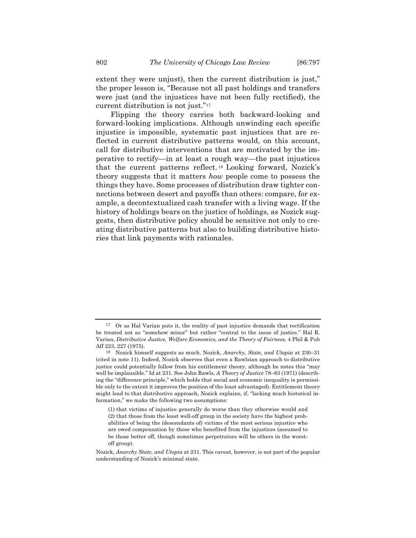extent they were unjust), then the current distribution is just," the proper lesson is, "Because not all past holdings and transfers were just (and the injustices have not been fully rectified), the current distribution is not just."17

Flipping the theory carries both backward-looking and forward-looking implications. Although unwinding each specific injustice is impossible, systematic past injustices that are reflected in current distributive patterns would, on this account, call for distributive interventions that are motivated by the imperative to rectify—in at least a rough way—the past injustices that the current patterns reflect. <sup>18</sup> Looking forward, Nozick's theory suggests that it matters *how* people come to possess the things they have. Some processes of distribution draw tighter connections between desert and payoffs than others: compare, for example, a decontextualized cash transfer with a living wage. If the history of holdings bears on the justice of holdings, as Nozick suggests, then distributive policy should be sensitive not only to creating distributive patterns but also to building distributive histories that link payments with rationales.

<sup>17</sup> Or as Hal Varian puts it, the reality of past injustice demands that rectification be treated not as "somehow minor" but rather "central to the issue of justice." Hal R. Varian, *Distributive Justice, Welfare Economics, and the Theory of Fairness*, 4 Phil & Pub Aff 223, 227 (1975).

<sup>18</sup> Nozick himself suggests as much. Nozick, *Anarchy, State, and Utopia* at 230–31 (cited in note 11). Indeed, Nozick observes that even a Rawlsian approach to distributive justice could potentially follow from his entitlement theory, although he notes this "may well be implausible." Id at 231. See John Rawls, *A Theory of Justice* 78–83 (1971) (describing the "difference principle," which holds that social and economic inequality is permissible only to the extent it improves the position of the least advantaged). Entitlement theory might lead to that distributive approach, Nozick explains, if, "lacking much historical information," we make the following two assumptions:

<sup>(1)</sup> that victims of injustice generally do worse than they otherwise would and (2) that those from the least well-off group in the society have the highest probabilities of being the (descendants of) victims of the most serious injustice who are owed compensation by those who benefited from the injustices (assumed to be those better off, though sometimes perpetrators will be others in the worstoff group).

Nozick, *Anarchy State, and Utopia* at 231. This caveat, however, is not part of the popular understanding of Nozick's minimal state.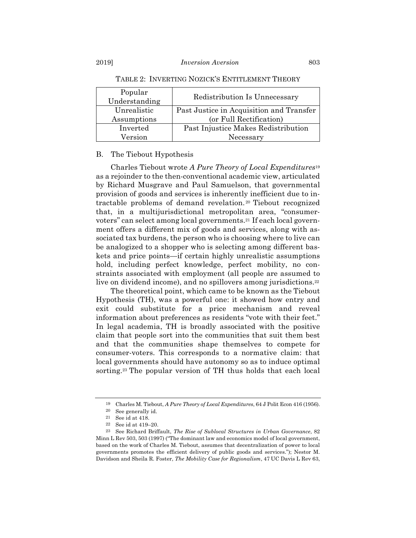| Popular<br>Understanding | Redistribution Is Unnecessary            |
|--------------------------|------------------------------------------|
| Unrealistic              | Past Justice in Acquisition and Transfer |
| Assumptions              | (or Full Rectification)                  |
| Inverted                 | Past Injustice Makes Redistribution      |
| Version                  | Necessary                                |

TABLE 2: INVERTING NOZICK'S ENTITLEMENT THEORY

#### B. The Tiebout Hypothesis

Charles Tiebout wrote *A Pure Theory of Local Expenditures*<sup>19</sup> as a rejoinder to the then-conventional academic view, articulated by Richard Musgrave and Paul Samuelson, that governmental provision of goods and services is inherently inefficient due to intractable problems of demand revelation. <sup>20</sup> Tiebout recognized that, in a multijurisdictional metropolitan area, "consumervoters" can select among local governments.21 If each local government offers a different mix of goods and services, along with associated tax burdens, the person who is choosing where to live can be analogized to a shopper who is selecting among different baskets and price points—if certain highly unrealistic assumptions hold, including perfect knowledge, perfect mobility, no constraints associated with employment (all people are assumed to live on dividend income), and no spillovers among jurisdictions.<sup>22</sup>

The theoretical point, which came to be known as the Tiebout Hypothesis (TH), was a powerful one: it showed how entry and exit could substitute for a price mechanism and reveal information about preferences as residents "vote with their feet." In legal academia, TH is broadly associated with the positive claim that people sort into the communities that suit them best and that the communities shape themselves to compete for consumer-voters. This corresponds to a normative claim: that local governments should have autonomy so as to induce optimal sorting.23 The popular version of TH thus holds that each local

<sup>19</sup> Charles M. Tiebout, *A Pure Theory of Local Expenditures*, 64 J Polit Econ 416 (1956).

<sup>&</sup>lt;sup>20</sup> See generally id.<br><sup>21</sup> See id at 418.

<sup>22</sup> See id at 419–20.

<sup>23</sup> See Richard Briffault, *The Rise of Sublocal Structures in Urban Governance*, 82 Minn L Rev 503, 503 (1997) ("The dominant law and economics model of local government, based on the work of Charles M. Tiebout, assumes that decentralization of power to local governments promotes the efficient delivery of public goods and services."); Nestor M. Davidson and Sheila R. Foster, *The Mobility Case for Regionalism*, 47 UC Davis L Rev 63,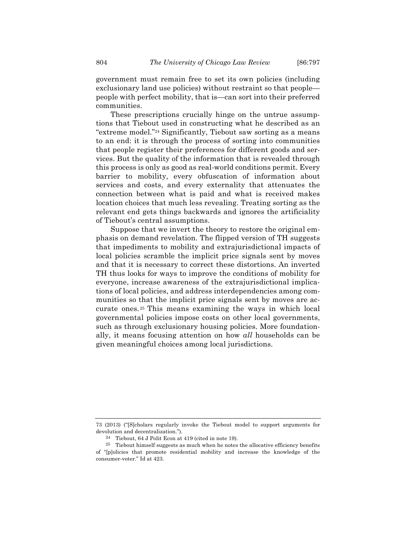government must remain free to set its own policies (including exclusionary land use policies) without restraint so that people people with perfect mobility, that is—can sort into their preferred communities.

These prescriptions crucially hinge on the untrue assumptions that Tiebout used in constructing what he described as an "extreme model."24 Significantly, Tiebout saw sorting as a means to an end: it is through the process of sorting into communities that people register their preferences for different goods and services. But the quality of the information that is revealed through this process is only as good as real-world conditions permit. Every barrier to mobility, every obfuscation of information about services and costs, and every externality that attenuates the connection between what is paid and what is received makes location choices that much less revealing. Treating sorting as the relevant end gets things backwards and ignores the artificiality of Tiebout's central assumptions.

Suppose that we invert the theory to restore the original emphasis on demand revelation. The flipped version of TH suggests that impediments to mobility and extrajurisdictional impacts of local policies scramble the implicit price signals sent by moves and that it is necessary to correct these distortions. An inverted TH thus looks for ways to improve the conditions of mobility for everyone, increase awareness of the extrajurisdictional implications of local policies, and address interdependencies among communities so that the implicit price signals sent by moves are accurate ones. <sup>25</sup> This means examining the ways in which local governmental policies impose costs on other local governments, such as through exclusionary housing policies. More foundationally, it means focusing attention on how *all* households can be given meaningful choices among local jurisdictions.

<sup>73 (2013) (&</sup>quot;[S]cholars regularly invoke the Tiebout model to support arguments for devolution and decentralization.").

<sup>24</sup> Tiebout, 64 J Polit Econ at 419 (cited in note 19).

<sup>25</sup> Tiebout himself suggests as much when he notes the allocative efficiency benefits of "[p]olicies that promote residential mobility and increase the knowledge of the consumer-voter." Id at 423.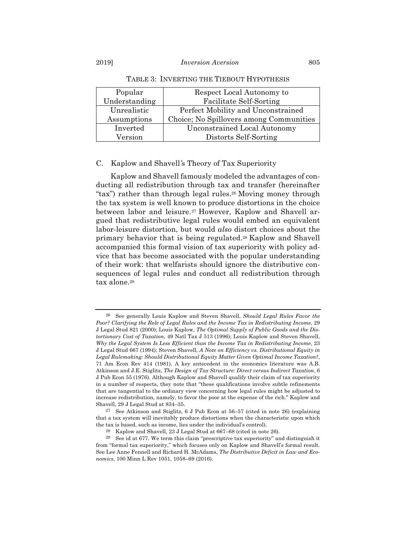| Popular       | Respect Local Autonomy to               |
|---------------|-----------------------------------------|
| Understanding | Facilitate Self-Sorting                 |
| Unrealistic   | Perfect Mobility and Unconstrained      |
| Assumptions   | Choice; No Spillovers among Communities |
| Inverted      | Unconstrained Local Autonomy            |
| Version       | Distorts Self-Sorting                   |

TABLE 3: INVERTING THE TIEBOUT HYPOTHESIS

#### C. Kaplow and Shavell*'*s Theory of Tax Superiority

Kaplow and Shavell famously modeled the advantages of conducting all redistribution through tax and transfer (hereinafter "tax") rather than through legal rules.<sup>26</sup> Moving money through the tax system is well known to produce distortions in the choice between labor and leisure.<sup>27</sup> However, Kaplow and Shavell argued that redistributive legal rules would embed an equivalent labor-leisure distortion, but would *also* distort choices about the primary behavior that is being regulated.28 Kaplow and Shavell accompanied this formal vision of tax superiority with policy advice that has become associated with the popular understanding of their work: that welfarists should ignore the distributive consequences of legal rules and conduct all redistribution through tax alone.<sup>29</sup>

<sup>26</sup> See generally Louis Kaplow and Steven Shavell, *Should Legal Rules Favor the Poor? Clarifying the Role of Legal Rules and the Income Tax in Redistributing Income*, 29 J Legal Stud 821 (2000); Louis Kaplow, *The Optimal Supply of Public Goods and the Distortionary Cost of Taxation*, 49 Natl Tax J 513 (1996); Louis Kaplow and Steven Shavell, *Why the Legal System Is Less Efficient than the Income Tax in Redistributing Income*, 23 J Legal Stud 667 (1994); Steven Shavell, *A Note on Efficiency vs. Distributional Equity in Legal Rulemaking: Should Distributional Equity Matter Given Optimal Income Taxation?*, 71 Am Econ Rev 414 (1981). A key antecedent in the economics literature was A.B. Atkinson and J.E. Stiglitz, *The Design of Tax Structure: Direct versus Indirect Taxation*, 6 J Pub Econ 55 (1976). Although Kaplow and Shavell qualify their claim of tax superiority in a number of respects, they note that "these qualifications involve subtle refinements that are tangential to the ordinary view concerning how legal rules might be adjusted to increase redistribution, namely, to favor the poor at the expense of the rich." Kaplow and Shavell, 29 J Legal Stud at 834–35.

<sup>27</sup> See Atkinson and Stiglitz, 6 J Pub Econ at 56–57 (cited in note 26) (explaining that a tax system will inevitably produce distortions when the characteristic upon which the tax is based, such as income, lies under the individual's control).

<sup>28</sup> Kaplow and Shavell, 23 J Legal Stud at 667–68 (cited in note 26).

<sup>29</sup> See id at 677. We term this claim "prescriptive tax superiority" and distinguish it from "formal tax superiority," which focuses only on Kaplow and Shavell's formal result. See Lee Anne Fennell and Richard H. McAdams, *The Distributive Deficit in Law and Economics*, 100 Minn L Rev 1051, 1058–69 (2016).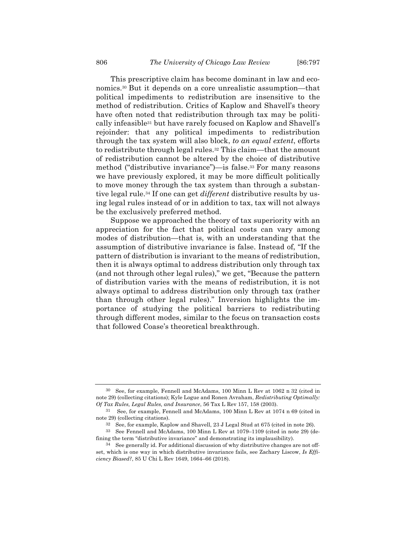This prescriptive claim has become dominant in law and economics.30 But it depends on a core unrealistic assumption—that political impediments to redistribution are insensitive to the method of redistribution. Critics of Kaplow and Shavell's theory have often noted that redistribution through tax may be politically infeasible31 but have rarely focused on Kaplow and Shavell's rejoinder: that any political impediments to redistribution through the tax system will also block, *to an equal extent*, efforts to redistribute through legal rules.32 This claim—that the amount of redistribution cannot be altered by the choice of distributive method ("distributive invariance")—is false.33 For many reasons we have previously explored, it may be more difficult politically to move money through the tax system than through a substantive legal rule.34 If one can get *different* distributive results by using legal rules instead of or in addition to tax, tax will not always be the exclusively preferred method.

Suppose we approached the theory of tax superiority with an appreciation for the fact that political costs can vary among modes of distribution—that is, with an understanding that the assumption of distributive invariance is false. Instead of, "If the pattern of distribution is invariant to the means of redistribution, then it is always optimal to address distribution only through tax (and not through other legal rules)," we get, "Because the pattern of distribution varies with the means of redistribution, it is not always optimal to address distribution only through tax (rather than through other legal rules)." Inversion highlights the importance of studying the political barriers to redistributing through different modes, similar to the focus on transaction costs that followed Coase's theoretical breakthrough.

See, for example, Fennell and McAdams, 100 Minn L Rev at 1062 n 32 (cited in note 29) (collecting citations); Kyle Logue and Ronen Avraham, *Redistributing Optimally: Of Tax Rules, Legal Rules, and Insurance*, 56 Tax L Rev 157, 158 (2003).

<sup>31</sup> See, for example, Fennell and McAdams, 100 Minn L Rev at 1074 n 69 (cited in note 29) (collecting citations).

<sup>32</sup> See, for example, Kaplow and Shavell, 23 J Legal Stud at 675 (cited in note 26).

<sup>33</sup> See Fennell and McAdams, 100 Minn L Rev at 1079–1109 (cited in note 29) (defining the term "distributive invariance" and demonstrating its implausibility).

<sup>34</sup> See generally id. For additional discussion of why distributive changes are not offset, which is one way in which distributive invariance fails, see Zachary Liscow, *Is Efficiency Biased?*, 85 U Chi L Rev 1649, 1664–66 (2018).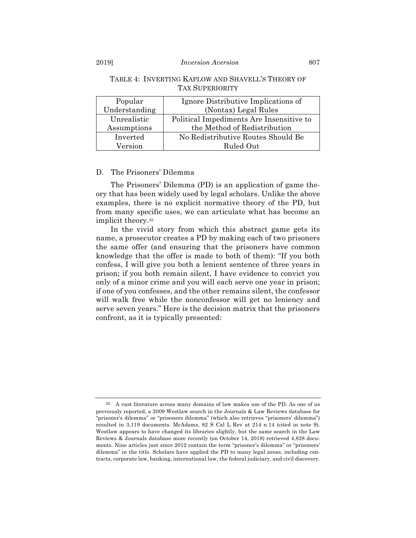#### Popular Understanding Ignore Distributive Implications of (Nontax) Legal Rules Unrealistic Assumptions Political Impediments Are Insensitive to the Method of Redistribution Inverted Version No Redistributive Routes Should Be Ruled Out

#### TABLE 4: INVERTING KAPLOW AND SHAVELL'S THEORY OF TAX SUPERIORITY

#### D. The Prisoners' Dilemma

The Prisoners' Dilemma (PD) is an application of game theory that has been widely used by legal scholars. Unlike the above examples, there is no explicit normative theory of the PD, but from many specific uses, we can articulate what has become an implicit theory.35

In the vivid story from which this abstract game gets its name, a prosecutor creates a PD by making each of two prisoners the same offer (and ensuring that the prisoners have common knowledge that the offer is made to both of them): "If you both confess, I will give you both a lenient sentence of three years in prison; if you both remain silent, I have evidence to convict you only of a minor crime and you will each serve one year in prison; if one of you confesses, and the other remains silent, the confessor will walk free while the nonconfessor will get no leniency and serve seven years." Here is the decision matrix that the prisoners confront, as it is typically presented:

<sup>35</sup> A vast literature across many domains of law makes use of the PD. As one of us previously reported, a 2009 Westlaw search in the Journals & Law Reviews database for "prisoner's dilemma" or "prisoners dilemma" (which also retrieves "prisoners' dilemma") resulted in 3,119 documents. McAdams, 82 S Cal L Rev at 214 n 14 (cited in note 9). Westlaw appears to have changed its libraries slightly, but the same search in the Law Reviews & Journals database more recently (on October 14, 2018) retrieved 4,828 documents. Nine articles just since 2012 contain the term "prisoner's dilemma" or "prisoners' dilemma" in the title. Scholars have applied the PD to many legal areas, including contracts, corporate law, banking, international law, the federal judiciary, and civil discovery.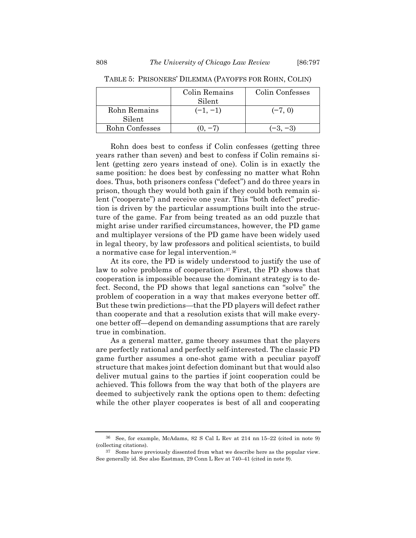|                | Colin Remains | Colin Confesses |
|----------------|---------------|-----------------|
|                | Silent        |                 |
| Rohn Remains   | $(-1, -1)$    | $(-7, 0)$       |
| Silent         |               |                 |
| Rohn Confesses |               |                 |

TABLE 5: PRISONERS' DILEMMA (PAYOFFS FOR ROHN, COLIN)

Rohn does best to confess if Colin confesses (getting three years rather than seven) and best to confess if Colin remains silent (getting zero years instead of one). Colin is in exactly the same position: he does best by confessing no matter what Rohn does. Thus, both prisoners confess ("defect") and do three years in prison, though they would both gain if they could both remain silent ("cooperate") and receive one year. This "both defect" prediction is driven by the particular assumptions built into the structure of the game. Far from being treated as an odd puzzle that might arise under rarified circumstances, however, the PD game and multiplayer versions of the PD game have been widely used in legal theory, by law professors and political scientists, to build a normative case for legal intervention.36

At its core, the PD is widely understood to justify the use of law to solve problems of cooperation.<sup>37</sup> First, the PD shows that cooperation is impossible because the dominant strategy is to defect. Second, the PD shows that legal sanctions can "solve" the problem of cooperation in a way that makes everyone better off. But these twin predictions—that the PD players will defect rather than cooperate and that a resolution exists that will make everyone better off—depend on demanding assumptions that are rarely true in combination.

As a general matter, game theory assumes that the players are perfectly rational and perfectly self-interested. The classic PD game further assumes a one-shot game with a peculiar payoff structure that makes joint defection dominant but that would also deliver mutual gains to the parties if joint cooperation could be achieved. This follows from the way that both of the players are deemed to subjectively rank the options open to them: defecting while the other player cooperates is best of all and cooperating

<sup>36</sup> See, for example, McAdams, 82 S Cal L Rev at 214 nn 15–22 (cited in note 9) (collecting citations).

<sup>37</sup> Some have previously dissented from what we describe here as the popular view. See generally id. See also Eastman, 29 Conn L Rev at 740–41 (cited in note 9).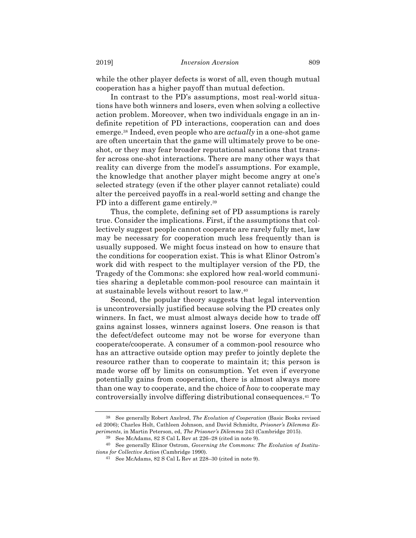while the other player defects is worst of all, even though mutual cooperation has a higher payoff than mutual defection.

In contrast to the PD's assumptions, most real-world situations have both winners and losers, even when solving a collective action problem. Moreover, when two individuals engage in an indefinite repetition of PD interactions, cooperation can and does emerge.38 Indeed, even people who are *actually* in a one-shot game are often uncertain that the game will ultimately prove to be oneshot, or they may fear broader reputational sanctions that transfer across one-shot interactions. There are many other ways that reality can diverge from the model's assumptions. For example, the knowledge that another player might become angry at one's selected strategy (even if the other player cannot retaliate) could alter the perceived payoffs in a real-world setting and change the PD into a different game entirely.39

Thus, the complete, defining set of PD assumptions is rarely true. Consider the implications. First, if the assumptions that collectively suggest people cannot cooperate are rarely fully met, law may be necessary for cooperation much less frequently than is usually supposed. We might focus instead on how to ensure that the conditions for cooperation exist. This is what Elinor Ostrom's work did with respect to the multiplayer version of the PD, the Tragedy of the Commons: she explored how real-world communities sharing a depletable common-pool resource can maintain it at sustainable levels without resort to law.40

Second, the popular theory suggests that legal intervention is uncontroversially justified because solving the PD creates only winners. In fact, we must almost always decide how to trade off gains against losses, winners against losers. One reason is that the defect/defect outcome may not be worse for everyone than cooperate/cooperate. A consumer of a common-pool resource who has an attractive outside option may prefer to jointly deplete the resource rather than to cooperate to maintain it; this person is made worse off by limits on consumption. Yet even if everyone potentially gains from cooperation, there is almost always more than one way to cooperate, and the choice of *how* to cooperate may controversially involve differing distributional consequences.41 To

<sup>38</sup> See generally Robert Axelrod, *The Evolution of Cooperation* (Basic Books revised ed 2006); Charles Holt, Cathleen Johnson, and David Schmidtz, *Prisoner's Dilemma Experiments*, in Martin Peterson, ed, *The Prisoner's Dilemma* 243 (Cambridge 2015).

<sup>39</sup> See McAdams, 82 S Cal L Rev at 226–28 (cited in note 9).

<sup>40</sup> See generally Elinor Ostrom, *Governing the Commons: The Evolution of Institutions for Collective Action* (Cambridge 1990).

<sup>41</sup> See McAdams, 82 S Cal L Rev at 228–30 (cited in note 9).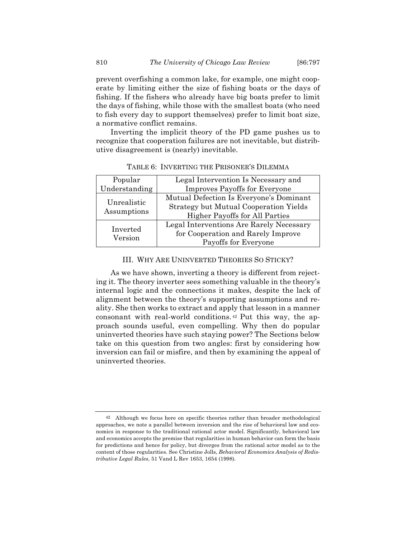prevent overfishing a common lake, for example, one might cooperate by limiting either the size of fishing boats or the days of fishing. If the fishers who already have big boats prefer to limit the days of fishing, while those with the smallest boats (who need to fish every day to support themselves) prefer to limit boat size, a normative conflict remains.

Inverting the implicit theory of the PD game pushes us to recognize that cooperation failures are not inevitable, but distributive disagreement is (nearly) inevitable.

| Popular                    | Legal Intervention Is Necessary and                                                      |
|----------------------------|------------------------------------------------------------------------------------------|
| Understanding              | <b>Improves Payoffs for Everyone</b>                                                     |
| Unrealistic<br>Assumptions | Mutual Defection Is Everyone's Dominant<br><b>Strategy but Mutual Cooperation Yields</b> |
|                            | <b>Higher Payoffs for All Parties</b>                                                    |
| Inverted<br>Version        | Legal Interventions Are Rarely Necessary                                                 |
|                            | for Cooperation and Rarely Improve                                                       |
|                            | Payoffs for Everyone                                                                     |

TABLE 6: INVERTING THE PRISONER'S DILEMMA

#### III. WHY ARE UNINVERTED THEORIES SO STICKY?

As we have shown, inverting a theory is different from rejecting it. The theory inverter sees something valuable in the theory's internal logic and the connections it makes, despite the lack of alignment between the theory's supporting assumptions and reality. She then works to extract and apply that lesson in a manner consonant with real-world conditions. <sup>42</sup> Put this way, the approach sounds useful, even compelling. Why then do popular uninverted theories have such staying power? The Sections below take on this question from two angles: first by considering how inversion can fail or misfire, and then by examining the appeal of uninverted theories.

<sup>42</sup> Although we focus here on specific theories rather than broader methodological approaches, we note a parallel between inversion and the rise of behavioral law and economics in response to the traditional rational actor model. Significantly, behavioral law and economics accepts the premise that regularities in human behavior can form the basis for predictions and hence for policy, but diverges from the rational actor model as to the content of those regularities. See Christine Jolls, *Behavioral Economics Analysis of Redistributive Legal Rules*, 51 Vand L Rev 1653, 1654 (1998).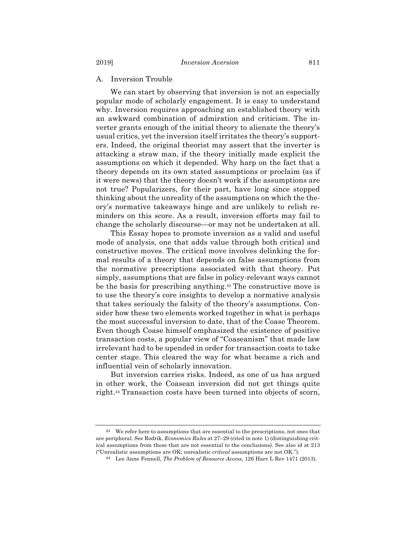#### A. Inversion Trouble

We can start by observing that inversion is not an especially popular mode of scholarly engagement. It is easy to understand why. Inversion requires approaching an established theory with an awkward combination of admiration and criticism. The inverter grants enough of the initial theory to alienate the theory's usual critics, yet the inversion itself irritates the theory's supporters. Indeed, the original theorist may assert that the inverter is attacking a straw man, if the theory initially made explicit the assumptions on which it depended. Why harp on the fact that a theory depends on its own stated assumptions or proclaim (as if it were news) that the theory doesn't work if the assumptions are not true? Popularizers, for their part, have long since stopped thinking about the unreality of the assumptions on which the theory's normative takeaways hinge and are unlikely to relish reminders on this score. As a result, inversion efforts may fail to change the scholarly discourse—or may not be undertaken at all.

This Essay hopes to promote inversion as a valid and useful mode of analysis, one that adds value through both critical and constructive moves. The critical move involves delinking the formal results of a theory that depends on false assumptions from the normative prescriptions associated with that theory. Put simply, assumptions that are false in policy-relevant ways cannot be the basis for prescribing anything.43 The constructive move is to use the theory's core insights to develop a normative analysis that takes seriously the falsity of the theory's assumptions. Consider how these two elements worked together in what is perhaps the most successful inversion to date, that of the Coase Theorem. Even though Coase himself emphasized the existence of positive transaction costs, a popular view of "Coaseanism" that made law irrelevant had to be upended in order for transaction costs to take center stage. This cleared the way for what became a rich and influential vein of scholarly innovation.

But inversion carries risks. Indeed, as one of us has argued in other work, the Coasean inversion did not get things quite right.44 Transaction costs have been turned into objects of scorn,

<sup>&</sup>lt;sup>43</sup> We refer here to assumptions that are essential to the prescriptions, not ones that are peripheral. See Rodrik, *Economics Rules* at 27–29 (cited in note 1) (distinguishing critical assumptions from those that are not essential to the conclusions). See also id at 213 ("Unrealistic assumptions are OK; unrealistic *critical* assumptions are not OK.").

<sup>44</sup> Lee Anne Fennell, *The Problem of Resource Access*, 126 Harv L Rev 1471 (2013).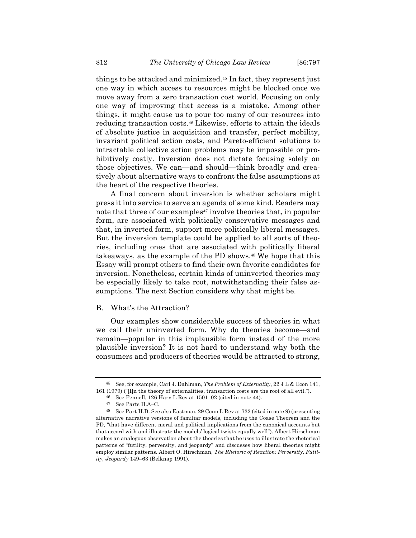things to be attacked and minimized.45 In fact, they represent just one way in which access to resources might be blocked once we move away from a zero transaction cost world. Focusing on only one way of improving that access is a mistake. Among other things, it might cause us to pour too many of our resources into reducing transaction costs.46 Likewise, efforts to attain the ideals of absolute justice in acquisition and transfer, perfect mobility, invariant political action costs, and Pareto-efficient solutions to intractable collective action problems may be impossible or prohibitively costly. Inversion does not dictate focusing solely on those objectives. We can—and should—think broadly and creatively about alternative ways to confront the false assumptions at the heart of the respective theories.

A final concern about inversion is whether scholars might press it into service to serve an agenda of some kind. Readers may note that three of our examples<sup>47</sup> involve theories that, in popular form, are associated with politically conservative messages and that, in inverted form, support more politically liberal messages. But the inversion template could be applied to all sorts of theories, including ones that are associated with politically liberal takeaways, as the example of the PD shows.48 We hope that this Essay will prompt others to find their own favorite candidates for inversion. Nonetheless, certain kinds of uninverted theories may be especially likely to take root, notwithstanding their false assumptions. The next Section considers why that might be.

#### B. What's the Attraction?

Our examples show considerable success of theories in what we call their uninverted form. Why do theories become—and remain—popular in this implausible form instead of the more plausible inversion? It is not hard to understand why both the consumers and producers of theories would be attracted to strong,

<sup>45</sup> See, for example, Carl J. Dahlman, *The Problem of Externality*, 22 J L & Econ 141, 161 (1979) ("[I]n the theory of externalities, transaction costs are the root of all evil.").

<sup>46</sup> See Fennell, 126 Harv L Rev at 1501–02 (cited in note 44).

<sup>47</sup> See Parts II.A–C.

<sup>48</sup> See Part II.D. See also Eastman, 29 Conn L Rev at 732 (cited in note 9) (presenting alternative narrative versions of familiar models, including the Coase Theorem and the PD, "that have different moral and political implications from the canonical accounts but that accord with and illustrate the models' logical twists equally well"). Albert Hirschman makes an analogous observation about the theories that he uses to illustrate the rhetorical patterns of "futility, perversity, and jeopardy" and discusses how liberal theories might employ similar patterns. Albert O. Hirschman, *The Rhetoric of Reaction: Perversity, Futility, Jeopardy* 149–63 (Belknap 1991).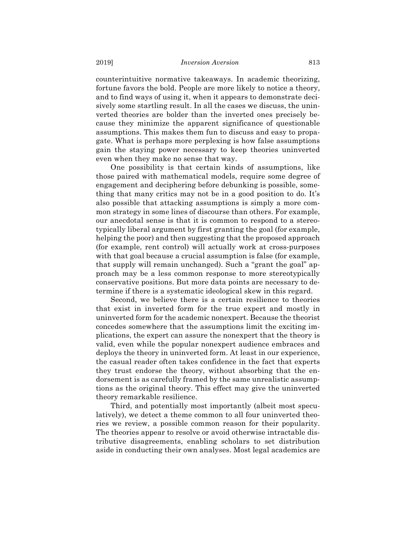counterintuitive normative takeaways. In academic theorizing, fortune favors the bold. People are more likely to notice a theory, and to find ways of using it, when it appears to demonstrate decisively some startling result. In all the cases we discuss, the uninverted theories are bolder than the inverted ones precisely because they minimize the apparent significance of questionable assumptions. This makes them fun to discuss and easy to propagate. What is perhaps more perplexing is how false assumptions gain the staying power necessary to keep theories uninverted even when they make no sense that way.

One possibility is that certain kinds of assumptions, like those paired with mathematical models, require some degree of engagement and deciphering before debunking is possible, something that many critics may not be in a good position to do. It's also possible that attacking assumptions is simply a more common strategy in some lines of discourse than others. For example, our anecdotal sense is that it is common to respond to a stereotypically liberal argument by first granting the goal (for example, helping the poor) and then suggesting that the proposed approach (for example, rent control) will actually work at cross-purposes with that goal because a crucial assumption is false (for example, that supply will remain unchanged). Such a "grant the goal" approach may be a less common response to more stereotypically conservative positions. But more data points are necessary to determine if there is a systematic ideological skew in this regard.

Second, we believe there is a certain resilience to theories that exist in inverted form for the true expert and mostly in uninverted form for the academic nonexpert. Because the theorist concedes somewhere that the assumptions limit the exciting implications, the expert can assure the nonexpert that the theory is valid, even while the popular nonexpert audience embraces and deploys the theory in uninverted form. At least in our experience, the casual reader often takes confidence in the fact that experts they trust endorse the theory, without absorbing that the endorsement is as carefully framed by the same unrealistic assumptions as the original theory. This effect may give the uninverted theory remarkable resilience.

Third, and potentially most importantly (albeit most speculatively), we detect a theme common to all four uninverted theories we review, a possible common reason for their popularity. The theories appear to resolve or avoid otherwise intractable distributive disagreements, enabling scholars to set distribution aside in conducting their own analyses. Most legal academics are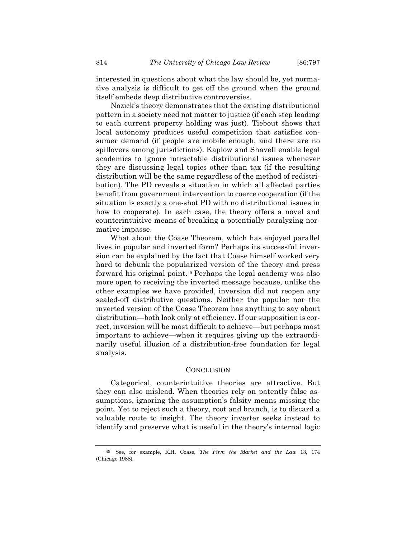interested in questions about what the law should be, yet normative analysis is difficult to get off the ground when the ground itself embeds deep distributive controversies.

Nozick's theory demonstrates that the existing distributional pattern in a society need not matter to justice (if each step leading to each current property holding was just). Tiebout shows that local autonomy produces useful competition that satisfies consumer demand (if people are mobile enough, and there are no spillovers among jurisdictions). Kaplow and Shavell enable legal academics to ignore intractable distributional issues whenever they are discussing legal topics other than tax (if the resulting distribution will be the same regardless of the method of redistribution). The PD reveals a situation in which all affected parties benefit from government intervention to coerce cooperation (if the situation is exactly a one-shot PD with no distributional issues in how to cooperate). In each case, the theory offers a novel and counterintuitive means of breaking a potentially paralyzing normative impasse.

What about the Coase Theorem, which has enjoyed parallel lives in popular and inverted form? Perhaps its successful inversion can be explained by the fact that Coase himself worked very hard to debunk the popularized version of the theory and press forward his original point.49 Perhaps the legal academy was also more open to receiving the inverted message because, unlike the other examples we have provided, inversion did not reopen any sealed-off distributive questions. Neither the popular nor the inverted version of the Coase Theorem has anything to say about distribution—both look only at efficiency. If our supposition is correct, inversion will be most difficult to achieve—but perhaps most important to achieve—when it requires giving up the extraordinarily useful illusion of a distribution-free foundation for legal analysis.

#### **CONCLUSION**

Categorical, counterintuitive theories are attractive. But they can also mislead. When theories rely on patently false assumptions, ignoring the assumption's falsity means missing the point. Yet to reject such a theory, root and branch, is to discard a valuable route to insight. The theory inverter seeks instead to identify and preserve what is useful in the theory's internal logic

<sup>49</sup> See, for example, R.H. Coase, *The Firm the Market and the Law* 13, 174 (Chicago 1988).